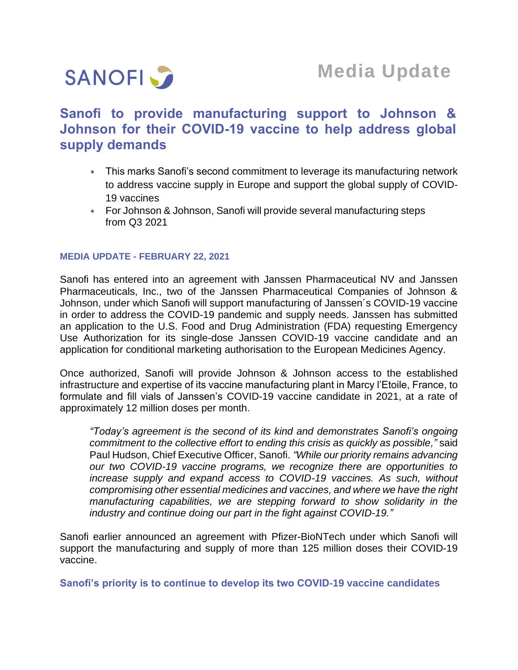

## **Sanofi to provide manufacturing support to Johnson & Johnson for their COVID-19 vaccine to help address global supply demands**

- This marks Sanofi's second commitment to leverage its manufacturing network to address vaccine supply in Europe and support the global supply of COVID-19 vaccines
- For Johnson & Johnson, Sanofi will provide several manufacturing steps from Q3 2021

## **MEDIA UPDATE - FEBRUARY 22, 2021**

Sanofi has entered into an agreement with Janssen Pharmaceutical NV and Janssen Pharmaceuticals, Inc., two of the Janssen Pharmaceutical Companies of Johnson & Johnson, under which Sanofi will support manufacturing of Janssen´s COVID-19 vaccine in order to address the COVID-19 pandemic and supply needs. Janssen has submitted an application to the U.S. Food and Drug Administration (FDA) requesting Emergency Use Authorization for its single-dose Janssen COVID-19 vaccine candidate and an application for [conditional marketing authorisation](https://www.ema.europa.eu/en/glossary/conditional-marketing-authorisation) to the European Medicines Agency.

Once authorized, Sanofi will provide Johnson & Johnson access to the established infrastructure and expertise of its vaccine manufacturing plant in Marcy l'Etoile, France, to formulate and fill vials of Janssen's COVID-19 vaccine candidate in 2021, at a rate of approximately 12 million doses per month.

*"Today's agreement is the second of its kind and demonstrates Sanofi's ongoing commitment to the collective effort to ending this crisis as quickly as possible,"* said Paul Hudson, Chief Executive Officer, Sanofi. *"While our priority remains advancing our two COVID-19 vaccine programs, we recognize there are opportunities to increase supply and expand access to COVID-19 vaccines. As such, without compromising other essential medicines and vaccines, and where we have the right manufacturing capabilities, we are stepping forward to show solidarity in the industry and continue doing our part in the fight against COVID-19."*

Sanofi earlier announced an agreement with Pfizer-BioNTech under which Sanofi will support the manufacturing and supply of more than 125 million doses their COVID-19 vaccine.

**Sanofi's priority is to continue to develop its two COVID-19 vaccine candidates**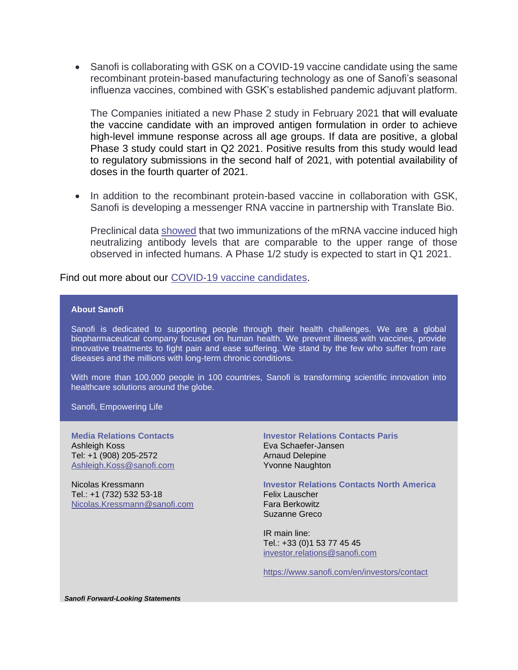• Sanofi is collaborating with GSK on a COVID-19 vaccine candidate using the same recombinant protein-based manufacturing technology as one of Sanofi's seasonal influenza vaccines, combined with GSK's established pandemic adjuvant platform.

The Companies initiated a new Phase 2 study in February 2021 that will evaluate the vaccine candidate with an improved antigen formulation in order to achieve high-level immune response across all age groups. If data are positive, a global Phase 3 study could start in Q2 2021. Positive results from this study would lead to regulatory submissions in the second half of 2021, with potential availability of doses in the fourth quarter of 2021.

• In addition to the recombinant protein-based vaccine in collaboration with GSK, Sanofi is developing a messenger RNA vaccine in partnership with Translate Bio.

Preclinical data [showed](https://www.biorxiv.org/content/10.1101/2020.10.14.337535v1) that two immunizations of the mRNA vaccine induced high neutralizing antibody levels that are comparable to the upper range of those observed in infected humans. A Phase 1/2 study is expected to start in Q1 2021.

Find out more about our [COVID-19 vaccine candidates.](https://www.sanofi.com/en/our-covid-19-vaccine-candidates)

## **About Sanofi**

Sanofi is dedicated to supporting people through their health challenges. We are a global biopharmaceutical company focused on human health. We prevent illness with vaccines, provide innovative treatments to fight pain and ease suffering. We stand by the few who suffer from rare diseases and the millions with long-term chronic conditions.

With more than 100,000 people in 100 countries, Sanofi is transforming scientific innovation into healthcare solutions around the globe.

Sanofi, Empowering Life

**Media Relations Contacts** Ashleigh Koss Tel: +1 (908) 205-2572 Ashleigh.Koss@sanofi.com

Nicolas Kressmann Tel.: +1 (732) 532 53-18 [Nicolas.Kressmann@sanofi.com](mailto:Nicolas.Kressmann@sanofi.com)

**Investor Relations Contacts Paris** Eva Schaefer-Jansen Arnaud Delepine Yvonne Naughton

**Investor Relations Contacts North America** Felix Lauscher Fara Berkowitz Suzanne Greco

IR main line: Tel.: +33 (0)1 53 77 45 45 [investor.relations@sanofi.com](mailto:investor.relations@sanofi.com)

<https://www.sanofi.com/en/investors/contact>

*Sanofi Forward-Looking Statements*